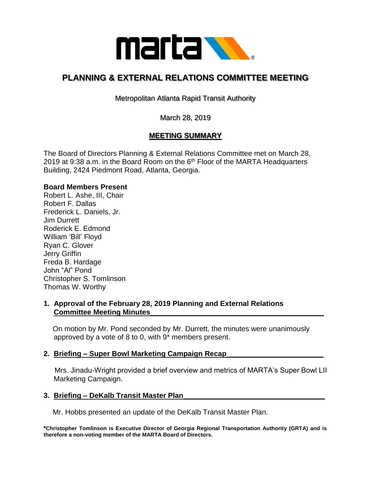

# **PLANNING & EXTERNAL RELATIONS COMMITTEE MEETING**

Metropolitan Atlanta Rapid Transit Authority

March 28, 2019

# **MEETING SUMMARY**

The Board of Directors Planning & External Relations Committee met on March 28, 2019 at 9:38 a.m. in the Board Room on the  $6<sup>th</sup>$  Floor of the MARTA Headquarters Building, 2424 Piedmont Road, Atlanta, Georgia.

# **Board Members Present**

Robert L. Ashe, III, Chair Robert F. Dallas Frederick L. Daniels, Jr. Jim Durrett Roderick E. Edmond William 'Bill' Floyd Ryan C. Glover Jerry Griffin Freda B. Hardage John "Al" Pond Christopher S. Tomlinson Thomas W. Worthy

# **1. Approval of the February 28, 2019 Planning and External Relations Committee Meeting Minutes\_\_\_\_\_\_\_\_\_\_\_\_\_\_\_\_\_\_\_\_\_\_\_\_\_\_\_\_\_\_\_\_\_\_\_\_\_\_\_\_\_\_\_**

 On motion by Mr. Pond seconded by Mr. Durrett, the minutes were unanimously approved by a vote of 8 to 0, with 9\* members present.

#### **2. Briefing – Super Bowl Marketing Campaign Recap\_\_\_\_\_\_\_\_\_\_\_\_\_\_\_\_\_\_\_\_\_\_\_\_**

 Mrs. Jinadu-Wright provided a brief overview and metrics of MARTA's Super Bowl LII Marketing Campaign.

#### **3. Briefing – DeKalb Transit Master Plan\_\_\_\_\_\_\_\_\_\_\_\_\_\_\_\_\_\_\_\_\_\_\_\_\_\_\_\_\_\_\_\_\_\_\_**

Mr. Hobbs presented an update of the DeKalb Transit Master Plan.

**\*Christopher Tomlinson is Executive Director of Georgia Regional Transportation Authority (GRTA) and is therefore a non-voting member of the MARTA Board of Directors.**